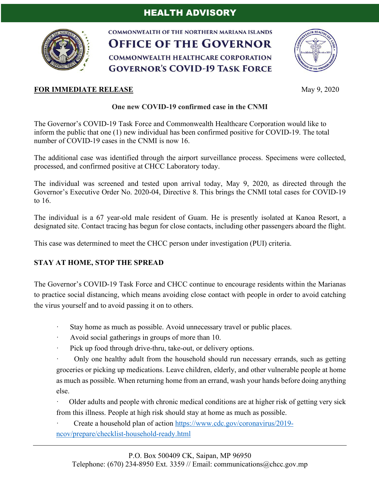# HEALTH ADVISORY



**COMMONWEALTH OF THE NORTHERN MARIANA ISLANDS OFFICE OF THE GOVERNOR COMMONWEALTH HEALTHCARE CORPORATION GOVERNOR'S COVID-19 TASK FORCE** 



## **FOR IMMEDIATE RELEASE** May 9, 2020

#### **One new COVID-19 confirmed case in the CNMI**

The Governor's COVID-19 Task Force and Commonwealth Healthcare Corporation would like to inform the public that one (1) new individual has been confirmed positive for COVID-19. The total number of COVID-19 cases in the CNMI is now 16.

The additional case was identified through the airport surveillance process. Specimens were collected, processed, and confirmed positive at CHCC Laboratory today.

The individual was screened and tested upon arrival today, May 9, 2020, as directed through the Governor's Executive Order No. 2020-04, Directive 8. This brings the CNMI total cases for COVID-19 to 16.

The individual is a 67 year-old male resident of Guam. He is presently isolated at Kanoa Resort, a designated site. Contact tracing has begun for close contacts, including other passengers aboard the flight.

This case was determined to meet the CHCC person under investigation (PUI) criteria.

# **STAY AT HOME, STOP THE SPREAD**

The Governor's COVID-19 Task Force and CHCC continue to encourage residents within the Marianas to practice social distancing, which means avoiding close contact with people in order to avoid catching the virus yourself and to avoid passing it on to others.

- Stay home as much as possible. Avoid unnecessary travel or public places.
- · Avoid social gatherings in groups of more than 10.
- · Pick up food through drive-thru, take-out, or delivery options.

· Only one healthy adult from the household should run necessary errands, such as getting groceries or picking up medications. Leave children, elderly, and other vulnerable people at home as much as possible. When returning home from an errand, wash your hands before doing anything else.

· Older adults and people with chronic medical conditions are at higher risk of getting very sick from this illness. People at high risk should stay at home as much as possible.

· Create a household plan of action https://www.cdc.gov/coronavirus/2019 ncov/prepare/checklist-household-ready.html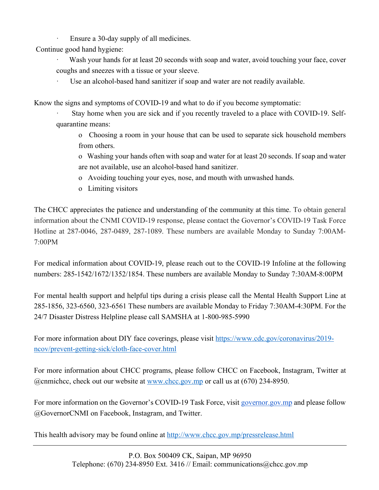Ensure a 30-day supply of all medicines.

Continue good hand hygiene:

- Wash your hands for at least 20 seconds with soap and water, avoid touching your face, cover coughs and sneezes with a tissue or your sleeve.
	- Use an alcohol-based hand sanitizer if soap and water are not readily available.

Know the signs and symptoms of COVID-19 and what to do if you become symptomatic:

- Stay home when you are sick and if you recently traveled to a place with COVID-19. Selfquarantine means:
	- o Choosing a room in your house that can be used to separate sick household members from others.
	- o Washing your hands often with soap and water for at least 20 seconds. If soap and water are not available, use an alcohol-based hand sanitizer.
	- o Avoiding touching your eyes, nose, and mouth with unwashed hands.
	- o Limiting visitors

The CHCC appreciates the patience and understanding of the community at this time. To obtain general information about the CNMI COVID-19 response, please contact the Governor's COVID-19 Task Force Hotline at 287-0046, 287-0489, 287-1089. These numbers are available Monday to Sunday 7:00AM-7:00PM

For medical information about COVID-19, please reach out to the COVID-19 Infoline at the following numbers: 285-1542/1672/1352/1854. These numbers are available Monday to Sunday 7:30AM-8:00PM

For mental health support and helpful tips during a crisis please call the Mental Health Support Line at 285-1856, 323-6560, 323-6561 These numbers are available Monday to Friday 7:30AM-4:30PM. For the 24/7 Disaster Distress Helpline please call SAMSHA at 1-800-985-5990

For more information about DIY face coverings, please visit https://www.cdc.gov/coronavirus/2019 ncov/prevent-getting-sick/cloth-face-cover.html

For more information about CHCC programs, please follow CHCC on Facebook, Instagram, Twitter at @cnmichcc, check out our website at www.chcc.gov.mp or call us at (670) 234-8950.

For more information on the Governor's COVID-19 Task Force, visit governor.gov.mp and please follow @GovernorCNMI on Facebook, Instagram, and Twitter.

This health advisory may be found online at http://www.chcc.gov.mp/pressrelease.html